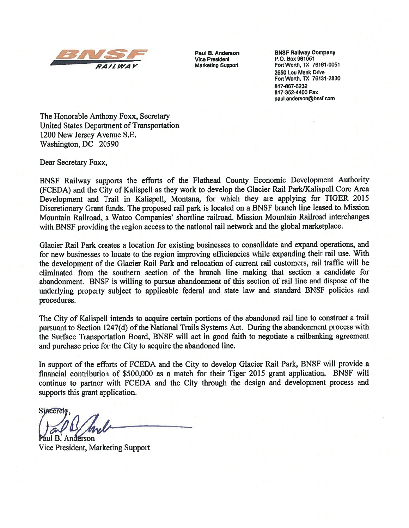

Vice President<br>Marketing Support

**Paul B. Anderson BNSF Railway Company<br>Vice President P.O. Box 961051** ALL WAY Marketing Support Fort Worth, TX 76161-0051 2650 Lou Menk Drive Fort Worth, TX 76131-2830 817-867-6232 817-352-4400 Fax paul.anderson@bnsf.com

The Honorable Anthony Foxx, Secretary United States Department of Transportation 1200 New Jersey Avenue S.E. Washington, DC 20590

Dear Secretary Foxx,

BNSF Railway supports the efforts of the Flathead County Economic Development Authority (FCEDA) and the City of Kalispell as they work to develop the Glacier Rail Park/Kalispell Core Area Development and Trail in Kalispell, Montana, for which they are applying for TIGER 2015 Discretionary Grant funds. The proposed rail park is located on a BNSF branch line leased to Mission Mountain Railroad, a Watco Companies' shortline railroad. Mission Mountain Railroad interchanges with BNSF providing the region access to the national rail network and the global marketplace.

Glacier Rail Park creates a location for existing businesses to consolidate and expand operations, and for new businesses to locate to the region improving efficiencies while expanding their rail use. With the development of the Glacier Rail Park and relocation of current rail customers, rail traffic will be eliniinated from the southern section of the branch line making that section a candidate for abandonment. BNSF is willing to pursue abandonment of this section of rail line and dispose of the underlying property subject to applicable federal and state law and standard BNSF policies and procedures.

The City of Kalispell intends to acquire certain portions of the abandoned rail line to construct a trail pursuant to Section 1247(d) of the National Trails Systems Act. During the abandonment process with the Surface Transportation Board, BNSF will act in good faith to negotiate a railbanking agreement and purchase price for the City to acquire the abandoned line.

In support of the efforts of FCEDA and the City to develop Glacier Rail Park, BNSF will provide a financial contribution of \$500,000 as a match for their Tiger 2015 grant application. BNSF will continue to partner with FCEDA and the City through the design and development process and supports this grant application.

**Sincerety** derson

Vice President, Marketing Support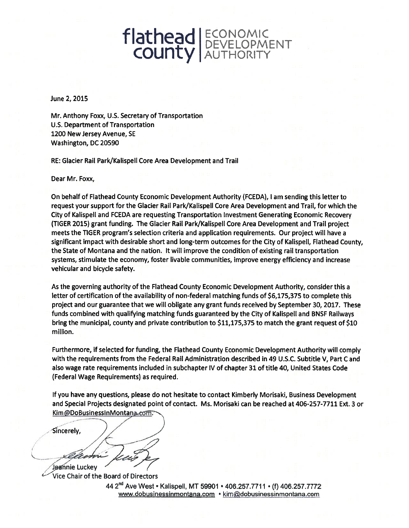## flathead ECONOMIC **COUNTY AUTHORITY**

June 2, 2015

Mr. Anthony Foxx, U.S. Secretary of Transportation U.S. Department of Transportation 1200 New Jersey Avenue, SE Washington, DC 20590

RE: Glacier Rail Park/Kalispell Core Area Development and Trail

Dear Mr. Foxx,

On behalf of Flathead County Economic Development Authority (FCEDA), <sup>I</sup> am sending this letter to request your support for the Glacier Rail Park/Kalispell Core Area Development and Trail, for which the City of Kalispell and FCEDA are requesting Transportation Investment Generating Economic Recovery (TIGER 2015) grant funding. The Glacier Rail Park/Kalispell Core Area Development and Trail project meets the TIGER program's selection criteria and application requirements. Our project will have a significant impact with desirable short and long-term outcomes for the City of Kalispell, Flathead County, the State of Montana and the nation. It will improve the condition of existing rail transportation systems, stimulate the economy, foster livable communities, improve energy efficiency and increase vehicular and bicycle safety.

As the governing authority of the Flathead County Economic Development Authority, consider this a letter of certification of the availability of non-federal matching funds of \$6,175,375 to complete this project and our guarantee that we will obligate any grant funds received by September 30, 2017. These funds combined with qualifying matching funds guaranteed by the City of Kalispell and BNSF Railways bring the municipal, county and private contribution to \$11,175,375 to match the grant request of \$10 million.

Furthermore, if selected for funding, the Flathead County Economic Development Authority will comply with the requirements from the Federal Rail Administration described in 49 U.S.C. Subtitle V, Part <sup>C</sup> and also wage rate requirements included in subchapter IV of chapter 31 of title 40, United States Code (Federal Wage Requirements) as required.

If you have any questions, please do not hesitate to contact Kimberly Morisaki, Business Development and Special Projects designated point of contact. Ms. Morisaki can be reached at 406-257-7711 Ext. 3 or Kim@DoBusinessInMontana.com,

Sincerely,

- Jeannie Luckey Vice Chair of the Board of Directors

44 2<sup>nd</sup> Ave West • Kalispell, MT 59901 • 406.257.7711 • (f) 406.257.7772 www.dobusinessinmontana.com • kim@dobusinessinmontana.com